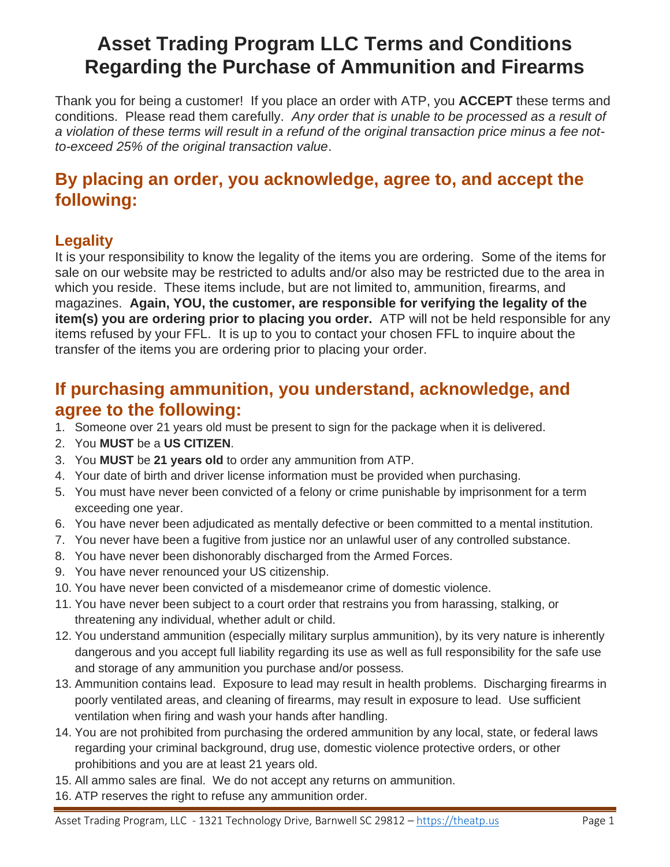# **Asset Trading Program LLC Terms and Conditions Regarding the Purchase of Ammunition and Firearms**

Thank you for being a customer! If you place an order with ATP, you **ACCEPT** these terms and conditions. Please read them carefully. *Any order that is unable to be processed as a result of a violation of these terms will result in a refund of the original transaction price minus a fee notto-exceed 25% of the original transaction value*.

### **By placing an order, you acknowledge, agree to, and accept the following:**

#### **Legality**

It is your responsibility to know the legality of the items you are ordering. Some of the items for sale on our website may be restricted to adults and/or also may be restricted due to the area in which you reside. These items include, but are not limited to, ammunition, firearms, and magazines. **Again, YOU, the customer, are responsible for verifying the legality of the item(s) you are ordering prior to placing you order.** ATP will not be held responsible for any items refused by your FFL. It is up to you to contact your chosen FFL to inquire about the transfer of the items you are ordering prior to placing your order.

#### **If purchasing ammunition, you understand, acknowledge, and agree to the following:**

- 1. Someone over 21 years old must be present to sign for the package when it is delivered.
- 2. You **MUST** be a **US CITIZEN**.
- 3. You **MUST** be **21 years old** to order any ammunition from ATP.
- 4. Your date of birth and driver license information must be provided when purchasing.
- 5. You must have never been convicted of a felony or crime punishable by imprisonment for a term exceeding one year.
- 6. You have never been adjudicated as mentally defective or been committed to a mental institution.
- 7. You never have been a fugitive from justice nor an unlawful user of any controlled substance.
- 8. You have never been dishonorably discharged from the Armed Forces.
- 9. You have never renounced your US citizenship.
- 10. You have never been convicted of a misdemeanor crime of domestic violence.
- 11. You have never been subject to a court order that restrains you from harassing, stalking, or threatening any individual, whether adult or child.
- 12. You understand ammunition (especially military surplus ammunition), by its very nature is inherently dangerous and you accept full liability regarding its use as well as full responsibility for the safe use and storage of any ammunition you purchase and/or possess.
- 13. Ammunition contains lead. Exposure to lead may result in health problems. Discharging firearms in poorly ventilated areas, and cleaning of firearms, may result in exposure to lead. Use sufficient ventilation when firing and wash your hands after handling.
- 14. You are not prohibited from purchasing the ordered ammunition by any local, state, or federal laws regarding your criminal background, drug use, domestic violence protective orders, or other prohibitions and you are at least 21 years old.
- 15. All ammo sales are final. We do not accept any returns on ammunition.
- 16. ATP reserves the right to refuse any ammunition order.